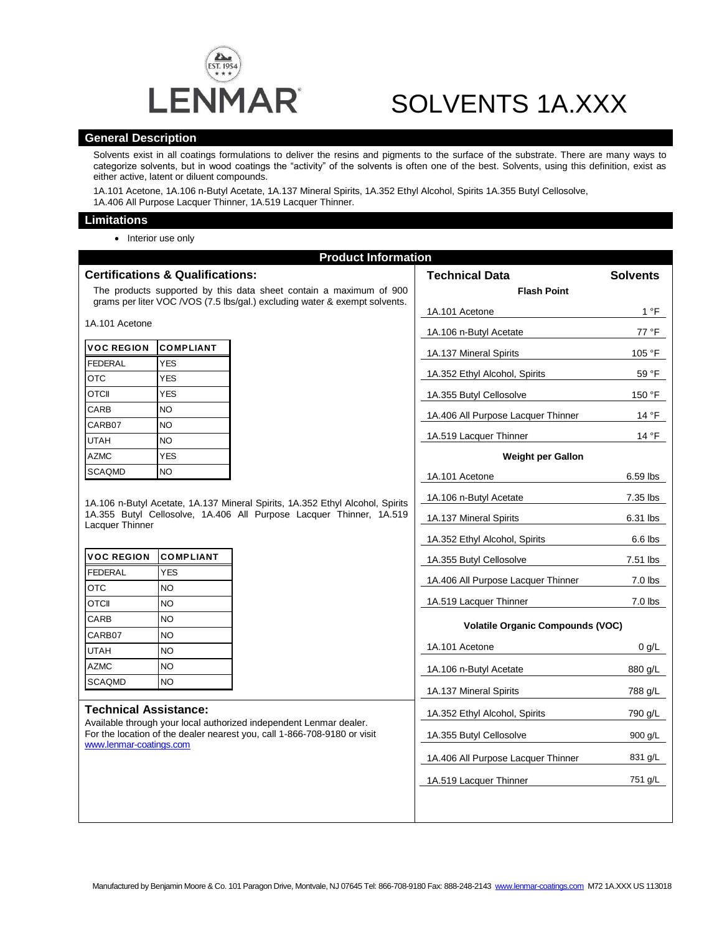

# SOLVENTS 1A.XXX

### **General Description**

Solvents exist in all coatings formulations to deliver the resins and pigments to the surface of the substrate. There are many ways to categorize solvents, but in wood coatings the "activity" of the solvents is often one of the best. Solvents, using this definition, exist as either active, latent or diluent compounds.

1A.101 Acetone, 1A.106 n-Butyl Acetate, 1A.137 Mineral Spirits, 1A.352 Ethyl Alcohol, Spirits 1A.355 Butyl Cellosolve, 1A.406 All Purpose Lacquer Thinner, 1A.519 Lacquer Thinner.

#### **Limitations**

• Interior use only

| <b>Product Information</b>                                                                                                                                                                                |                  |  |                                         |                 |
|-----------------------------------------------------------------------------------------------------------------------------------------------------------------------------------------------------------|------------------|--|-----------------------------------------|-----------------|
| <b>Certifications &amp; Qualifications:</b>                                                                                                                                                               |                  |  | <b>Technical Data</b>                   | <b>Solvents</b> |
| The products supported by this data sheet contain a maximum of 900<br>grams per liter VOC /VOS (7.5 lbs/gal.) excluding water & exempt solvents.                                                          |                  |  | <b>Flash Point</b>                      |                 |
|                                                                                                                                                                                                           |                  |  | 1A.101 Acetone                          | 1 °F            |
| 1A.101 Acetone                                                                                                                                                                                            |                  |  | 1A.106 n-Butyl Acetate                  | 77 °F           |
| <b>VOC REGION</b>                                                                                                                                                                                         | <b>COMPLIANT</b> |  | 1A.137 Mineral Spirits                  | 105 °F          |
| <b>FEDERAL</b>                                                                                                                                                                                            | <b>YES</b>       |  |                                         |                 |
| <b>OTC</b>                                                                                                                                                                                                | <b>YES</b>       |  | 1A.352 Ethyl Alcohol, Spirits           | 59 °F           |
| <b>OTCII</b>                                                                                                                                                                                              | <b>YES</b>       |  | 1A.355 Butyl Cellosolve                 | 150 °F          |
| CARB                                                                                                                                                                                                      | <b>NO</b>        |  | 1A.406 All Purpose Lacquer Thinner      | 14 °F           |
| CARB07                                                                                                                                                                                                    | <b>NO</b>        |  |                                         |                 |
| <b>UTAH</b>                                                                                                                                                                                               | <b>NO</b>        |  | 1A.519 Lacquer Thinner                  | 14 °F           |
| <b>AZMC</b>                                                                                                                                                                                               | <b>YES</b>       |  | <b>Weight per Gallon</b>                |                 |
| <b>SCAQMD</b>                                                                                                                                                                                             | <b>NO</b>        |  | 1A.101 Acetone                          | 6.59 lbs        |
| 1A.106 n-Butyl Acetate, 1A.137 Mineral Spirits, 1A.352 Ethyl Alcohol, Spirits<br>1A.355 Butyl Cellosolve, 1A.406 All Purpose Lacquer Thinner, 1A.519<br>Lacquer Thinner                                   |                  |  | 1A.106 n-Butyl Acetate                  | 7.35 lbs        |
|                                                                                                                                                                                                           |                  |  | 1A.137 Mineral Spirits                  | 6.31 lbs        |
|                                                                                                                                                                                                           |                  |  |                                         |                 |
|                                                                                                                                                                                                           |                  |  | 1A.352 Ethyl Alcohol, Spirits           | 6.6 lbs         |
| <b>VOC REGION</b>                                                                                                                                                                                         | <b>COMPLIANT</b> |  | 1A.355 Butyl Cellosolve                 | 7.51 lbs        |
| <b>FEDERAL</b>                                                                                                                                                                                            | <b>YES</b>       |  | 1A.406 All Purpose Lacquer Thinner      | $7.0$ lbs       |
| <b>OTC</b>                                                                                                                                                                                                | NO               |  |                                         | $7.0$ lbs       |
| <b>OTCII</b>                                                                                                                                                                                              | NO               |  | 1A.519 Lacquer Thinner                  |                 |
| CARB                                                                                                                                                                                                      | <b>NO</b>        |  | <b>Volatile Organic Compounds (VOC)</b> |                 |
| CARB07                                                                                                                                                                                                    | <b>NO</b>        |  | 1A.101 Acetone                          | 0 g/L           |
| <b>UTAH</b>                                                                                                                                                                                               | <b>NO</b>        |  |                                         |                 |
| <b>AZMC</b><br><b>SCAQMD</b>                                                                                                                                                                              | NO<br>NO         |  | 1A.106 n-Butyl Acetate                  | 880 g/L         |
|                                                                                                                                                                                                           |                  |  | 1A.137 Mineral Spirits                  | 788 g/L         |
| <b>Technical Assistance:</b><br>Available through your local authorized independent Lenmar dealer.<br>For the location of the dealer nearest you, call 1-866-708-9180 or visit<br>www.lenmar-coatings.com |                  |  | 1A.352 Ethyl Alcohol, Spirits           | 790 g/L         |
|                                                                                                                                                                                                           |                  |  |                                         |                 |
|                                                                                                                                                                                                           |                  |  | 1A.355 Butyl Cellosolve                 | 900 g/L         |
|                                                                                                                                                                                                           |                  |  | 1A.406 All Purpose Lacquer Thinner      | 831 g/L         |
|                                                                                                                                                                                                           |                  |  | 1A.519 Lacquer Thinner                  | 751 g/L         |
|                                                                                                                                                                                                           |                  |  |                                         |                 |
|                                                                                                                                                                                                           |                  |  |                                         |                 |
|                                                                                                                                                                                                           |                  |  |                                         |                 |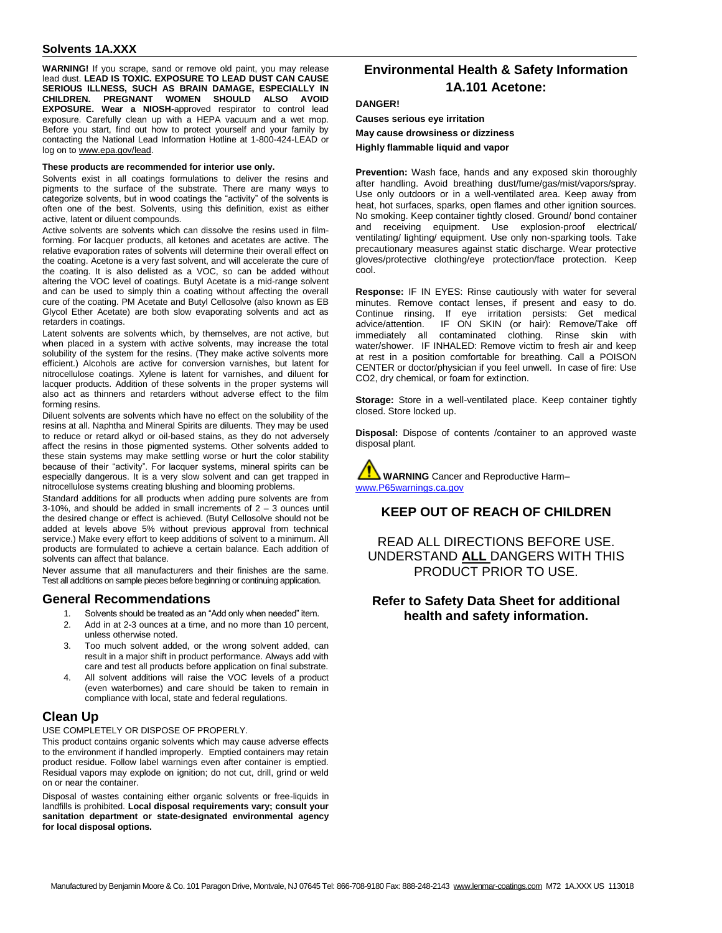**WARNING!** If you scrape, sand or remove old paint, you may release lead dust. **LEAD IS TOXIC. EXPOSURE TO LEAD DUST CAN CAUSE SERIOUS ILLNESS, SUCH AS BRAIN DAMAGE, ESPECIALLY IN CHILDREN. PREGNANT WOMEN SHOULD ALSO AVOID EXPOSURE. Wear a NIOSH-**approved respirator to control lead exposure. Carefully clean up with a HEPA vacuum and a wet mop. Before you start, find out how to protect yourself and your family by contacting the National Lead Information Hotline at 1-800-424-LEAD or log on to [www.epa.gov/lead.](http://www.epa.gov/lead)

#### **These products are recommended for interior use only.**

Solvents exist in all coatings formulations to deliver the resins and pigments to the surface of the substrate. There are many ways to categorize solvents, but in wood coatings the "activity" of the solvents is often one of the best. Solvents, using this definition, exist as either active, latent or diluent compounds.

Active solvents are solvents which can dissolve the resins used in filmforming. For lacquer products, all ketones and acetates are active. The relative evaporation rates of solvents will determine their overall effect on the coating. Acetone is a very fast solvent, and will accelerate the cure of the coating. It is also delisted as a VOC, so can be added without altering the VOC level of coatings. Butyl Acetate is a mid-range solvent and can be used to simply thin a coating without affecting the overall cure of the coating. PM Acetate and Butyl Cellosolve (also known as EB Glycol Ether Acetate) are both slow evaporating solvents and act as retarders in coatings.

Latent solvents are solvents which, by themselves, are not active, but when placed in a system with active solvents, may increase the total solubility of the system for the resins. (They make active solvents more efficient.) Alcohols are active for conversion varnishes, but latent for nitrocellulose coatings. Xylene is latent for varnishes, and diluent for lacquer products. Addition of these solvents in the proper systems will also act as thinners and retarders without adverse effect to the film forming resins.

Diluent solvents are solvents which have no effect on the solubility of the resins at all. Naphtha and Mineral Spirits are diluents. They may be used to reduce or retard alkyd or oil-based stains, as they do not adversely affect the resins in those pigmented systems. Other solvents added to these stain systems may make settling worse or hurt the color stability because of their "activity". For lacquer systems, mineral spirits can be especially dangerous. It is a very slow solvent and can get trapped in nitrocellulose systems creating blushing and blooming problems.

Standard additions for all products when adding pure solvents are from 3-10%, and should be added in small increments of  $2 - 3$  ounces until the desired change or effect is achieved. (Butyl Cellosolve should not be added at levels above 5% without previous approval from technical service.) Make every effort to keep additions of solvent to a minimum. All products are formulated to achieve a certain balance. Each addition of solvents can affect that balance.

Never assume that all manufacturers and their finishes are the same. Test all additions on sample pieces before beginning or continuing application.

#### **General Recommendations**

- 1. Solvents should be treated as an "Add only when needed" item.
- 2. Add in at 2-3 ounces at a time, and no more than 10 percent, unless otherwise noted.
- 3. Too much solvent added, or the wrong solvent added, can result in a major shift in product performance. Always add with care and test all products before application on final substrate.
- All solvent additions will raise the VOC levels of a product (even waterbornes) and care should be taken to remain in compliance with local, state and federal regulations.

### **Clean Up**

USE COMPLETELY OR DISPOSE OF PROPERLY.

This product contains organic solvents which may cause adverse effects to the environment if handled improperly. Emptied containers may retain product residue. Follow label warnings even after container is emptied. Residual vapors may explode on ignition; do not cut, drill, grind or weld on or near the container.

Disposal of wastes containing either organic solvents or free-liquids in landfills is prohibited. **Local disposal requirements vary; consult your sanitation department or state-designated environmental agency for local disposal options.** 

# **Environmental Health & Safety Information 1A.101 Acetone:**

#### **DANGER!**

**Causes serious eye irritation May cause drowsiness or dizziness Highly flammable liquid and vapor**

**Prevention:** Wash face, hands and any exposed skin thoroughly after handling. Avoid breathing dust/fume/gas/mist/vapors/spray. Use only outdoors or in a well-ventilated area. Keep away from heat, hot surfaces, sparks, open flames and other ignition sources. No smoking. Keep container tightly closed. Ground/ bond container and receiving equipment. Use explosion-proof electrical/ ventilating/ lighting/ equipment. Use only non-sparking tools. Take precautionary measures against static discharge. Wear protective gloves/protective clothing/eye protection/face protection. Keep cool.

**Response:** IF IN EYES: Rinse cautiously with water for several minutes. Remove contact lenses, if present and easy to do. Continue rinsing. If eye irritation persists: Get medical<br>advice/attention. IF ON SKIN (or hair): Remove/Take off IF ON SKIN (or hair): Remove/Take off immediately all contaminated clothing. Rinse skin with water/shower. IF INHALED: Remove victim to fresh air and keep at rest in a position comfortable for breathing. Call a POISON CENTER or doctor/physician if you feel unwell. In case of fire: Use CO2, dry chemical, or foam for extinction.

**Storage:** Store in a well-ventilated place. Keep container tightly closed. Store locked up.

**Disposal:** Dispose of contents /container to an approved waste disposal plant.



### **KEEP OUT OF REACH OF CHILDREN**

READ ALL DIRECTIONS BEFORE USE. UNDERSTAND **ALL** DANGERS WITH THIS PRODUCT PRIOR TO USE.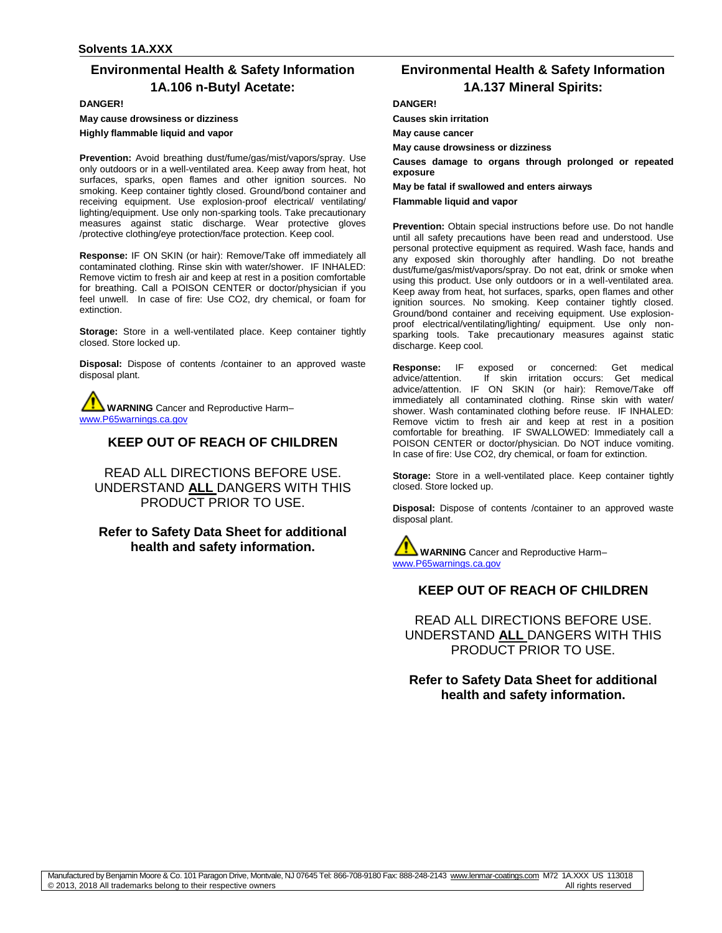# **Environmental Health & Safety Information 1A.106 n-Butyl Acetate:**

**DANGER!**

**May cause drowsiness or dizziness Highly flammable liquid and vapor** 

**Prevention:** Avoid breathing dust/fume/gas/mist/vapors/spray. Use only outdoors or in a well-ventilated area. Keep away from heat, hot surfaces, sparks, open flames and other ignition sources. No smoking. Keep container tightly closed. Ground/bond container and receiving equipment. Use explosion-proof electrical/ ventilating/ lighting/equipment. Use only non-sparking tools. Take precautionary measures against static discharge. Wear protective gloves /protective clothing/eye protection/face protection. Keep cool.

**Response:** IF ON SKIN (or hair): Remove/Take off immediately all contaminated clothing. Rinse skin with water/shower. IF INHALED: Remove victim to fresh air and keep at rest in a position comfortable for breathing. Call a POISON CENTER or doctor/physician if you feel unwell. In case of fire: Use CO2, dry chemical, or foam for extinction.

**Storage:** Store in a well-ventilated place. Keep container tightly closed. Store locked up.

**Disposal:** Dispose of contents /container to an approved waste disposal plant.

**WARNING** Cancer and Reproductive Harm– [www.P65warnings.ca.gov](http://www.p65warnings.ca.gov/)

# **KEEP OUT OF REACH OF CHILDREN**

READ ALL DIRECTIONS BEFORE USE. UNDERSTAND **ALL** DANGERS WITH THIS PRODUCT PRIOR TO USE.

# **Refer to Safety Data Sheet for additional health and safety information.**

# **Environmental Health & Safety Information 1A.137 Mineral Spirits:**

#### **DANGER!**

**Causes skin irritation**

**May cause cancer**

**May cause drowsiness or dizziness**

**Causes damage to organs through prolonged or repeated exposure**

**May be fatal if swallowed and enters airways** 

#### **Flammable liquid and vapor**

**Prevention:** Obtain special instructions before use. Do not handle until all safety precautions have been read and understood. Use personal protective equipment as required. Wash face, hands and any exposed skin thoroughly after handling. Do not breathe dust/fume/gas/mist/vapors/spray. Do not eat, drink or smoke when using this product. Use only outdoors or in a well-ventilated area. Keep away from heat, hot surfaces, sparks, open flames and other ignition sources. No smoking. Keep container tightly closed. Ground/bond container and receiving equipment. Use explosionproof electrical/ventilating/lighting/ equipment. Use only nonsparking tools. Take precautionary measures against static discharge. Keep cool.

**Response:** IF exposed or concerned: Get medical advice/attention. If skin irritation occurs: Get medical advice/attention. IF ON SKIN (or hair): Remove/Take off immediately all contaminated clothing. Rinse skin with water/ shower. Wash contaminated clothing before reuse. IF INHALED: Remove victim to fresh air and keep at rest in a position comfortable for breathing. IF SWALLOWED: Immediately call a POISON CENTER or doctor/physician. Do NOT induce vomiting. In case of fire: Use CO2, dry chemical, or foam for extinction.

**Storage:** Store in a well-ventilated place. Keep container tightly closed. Store locked up.

**Disposal:** Dispose of contents /container to an approved waste disposal plant.

**WARNING** Cancer and Reproductive Harm– [www.P65warnings.ca.gov](http://www.p65warnings.ca.gov/)

# **KEEP OUT OF REACH OF CHILDREN**

READ ALL DIRECTIONS BEFORE USE. UNDERSTAND **ALL** DANGERS WITH THIS PRODUCT PRIOR TO USE.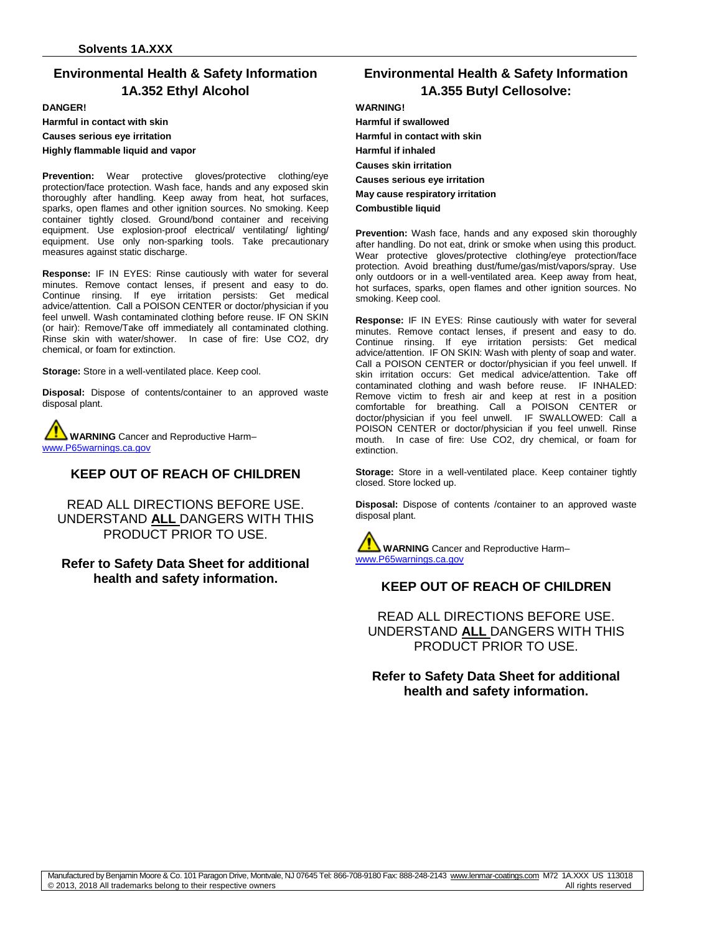# **Environmental Health & Safety Information 1A.352 Ethyl Alcohol**

#### **DANGER!**

**Harmful in contact with skin**

**Causes serious eye irritation** 

**Highly flammable liquid and vapor** 

Prevention: Wear protective gloves/protective clothing/eye protection/face protection. Wash face, hands and any exposed skin thoroughly after handling. Keep away from heat, hot surfaces, sparks, open flames and other ignition sources. No smoking. Keep container tightly closed. Ground/bond container and receiving equipment. Use explosion-proof electrical/ ventilating/ lighting/ equipment. Use only non-sparking tools. Take precautionary measures against static discharge.

**Response:** IF IN EYES: Rinse cautiously with water for several minutes. Remove contact lenses, if present and easy to do. Continue rinsing. If eye irritation persists: Get medical advice/attention. Call a POISON CENTER or doctor/physician if you feel unwell. Wash contaminated clothing before reuse. IF ON SKIN (or hair): Remove/Take off immediately all contaminated clothing. Rinse skin with water/shower. In case of fire: Use CO2, dry chemical, or foam for extinction.

**Storage:** Store in a well-ventilated place. Keep cool.

**Disposal:** Dispose of contents/container to an approved waste disposal plant.

**WARNING** Cancer and Reproductive Harm– [www.P65warnings.ca.gov](http://www.p65warnings.ca.gov/)

### **KEEP OUT OF REACH OF CHILDREN**

READ ALL DIRECTIONS BEFORE USE. UNDERSTAND **ALL** DANGERS WITH THIS PRODUCT PRIOR TO USE.

### **Refer to Safety Data Sheet for additional health and safety information.**

# **Environmental Health & Safety Information 1A.355 Butyl Cellosolve:**

#### **WARNING!**

**Harmful if swallowed Harmful in contact with skin Harmful if inhaled Causes skin irritation Causes serious eye irritation May cause respiratory irritation Combustible liquid** 

**Prevention:** Wash face, hands and any exposed skin thoroughly after handling. Do not eat, drink or smoke when using this product. Wear protective gloves/protective clothing/eye protection/face protection. Avoid breathing dust/fume/gas/mist/vapors/spray. Use only outdoors or in a well-ventilated area. Keep away from heat, hot surfaces, sparks, open flames and other ignition sources. No smoking. Keep cool.

**Response:** IF IN EYES: Rinse cautiously with water for several minutes. Remove contact lenses, if present and easy to do. Continue rinsing. If eye irritation persists: Get medical advice/attention. IF ON SKIN: Wash with plenty of soap and water. Call a POISON CENTER or doctor/physician if you feel unwell. If skin irritation occurs: Get medical advice/attention. Take off contaminated clothing and wash before reuse. IF INHALED: Remove victim to fresh air and keep at rest in a position comfortable for breathing. Call a POISON CENTER or doctor/physician if you feel unwell. IF SWALLOWED: Call a POISON CENTER or doctor/physician if you feel unwell. Rinse mouth. In case of fire: Use CO2, dry chemical, or foam for extinction.

**Storage:** Store in a well-ventilated place. Keep container tightly closed. Store locked up.

**Disposal:** Dispose of contents /container to an approved waste disposal plant.

**WARNING** Cancer and Reproductive Harm– [www.P65warnings.ca.gov](http://www.p65warnings.ca.gov/)

# **KEEP OUT OF REACH OF CHILDREN**

READ ALL DIRECTIONS BEFORE USE. UNDERSTAND **ALL** DANGERS WITH THIS PRODUCT PRIOR TO USE.